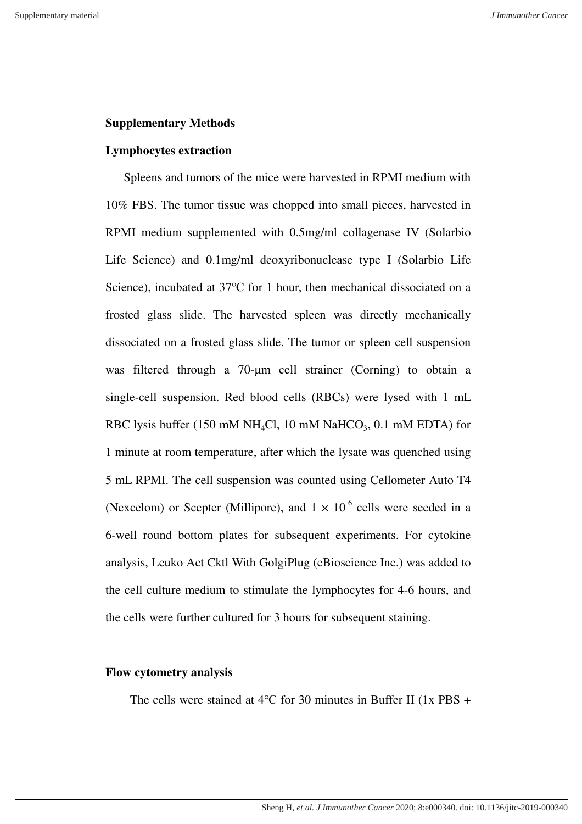## **Supplementary Methods**

## **Lymphocytes extraction**

Spleens and tumors of the mice were harvested in RPMI medium with 10% FBS. The tumor tissue was chopped into small pieces, harvested in RPMI medium supplemented with 0.5mg/ml collagenase IV (Solarbio Life Science) and 0.1mg/ml deoxyribonuclease type I (Solarbio Life Science), incubated at 37℃ for 1 hour, then mechanical dissociated on a frosted glass slide. The harvested spleen was directly mechanically dissociated on a frosted glass slide. The tumor or spleen cell suspension was filtered through a 70-μm cell strainer (Corning) to obtain a single-cell suspension. Red blood cells (RBCs) were lysed with 1 mL RBC lysis buffer (150 mM NH<sub>4</sub>Cl, 10 mM NaHCO<sub>3</sub>, 0.1 mM EDTA) for 1 minute at room temperature, after which the lysate was quenched using 5 mL RPMI. The cell suspension was counted using Cellometer Auto T4 (Nexcelom) or Scepter (Millipore), and  $1 \times 10^6$  cells were seeded in a 6-well round bottom plates for subsequent experiments. For cytokine analysis, Leuko Act Cktl With GolgiPlug (eBioscience Inc.) was added to the cell culture medium to stimulate the lymphocytes for 4-6 hours, and the cells were further cultured for 3 hours for subsequent staining.

## **Flow cytometry analysis**

The cells were stained at 4℃ for 30 minutes in Buffer II (1x PBS +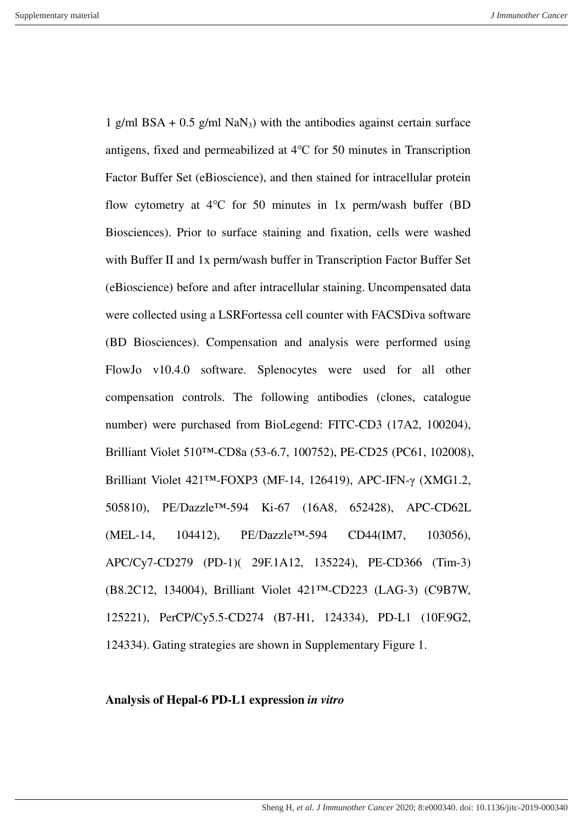1 g/ml BSA +  $0.5$  g/ml NaN<sub>3</sub>) with the antibodies against certain surface antigens, fixed and permeabilized at 4℃ for 50 minutes in Transcription Factor Buffer Set (eBioscience), and then stained for intracellular protein flow cytometry at 4<sup>o</sup>C for 50 minutes in 1x perm/wash buffer (BD Biosciences). Prior to surface staining and fixation, cells were washed with Buffer II and 1x perm/wash buffer in Transcription Factor Buffer Set (eBioscience) before and after intracellular staining. Uncompensated data were collected using a LSRFortessa cell counter with FACSDiva software (BD Biosciences). Compensation and analysis were performed using FlowJo v10.4.0 software. Splenocytes were used for all other compensation controls. The following antibodies (clones, catalogue number) were purchased from BioLegend: FITC-CD3 (17A2, 100204), Brilliant Violet 510™-CD8a (53-6.7, 100752), PE-CD25 (PC61, 102008), Brilliant Violet 421™-FOXP3 (MF-14, 126419), APC-IFN-γ (XMG1.2, 505810), PE/Dazzle™-594 Ki-67 (16A8, 652428), APC-CD62L (MEL-14, 104412), PE/Dazzle™-594 CD44(IM7, 103056), APC/Cy7-CD279 (PD-1)( 29F.1A12, 135224), PE-CD366 (Tim-3) (B8.2C12, 134004), Brilliant Violet 421™-CD223 (LAG-3) (C9B7W, 125221), PerCP/Cy5.5-CD274 (B7-H1, 124334), PD-L1 (10F.9G2, 124334). Gating strategies are shown in Supplementary Figure 1.

## **Analysis of Hepal-6 PD-L1 expression** *in vitro*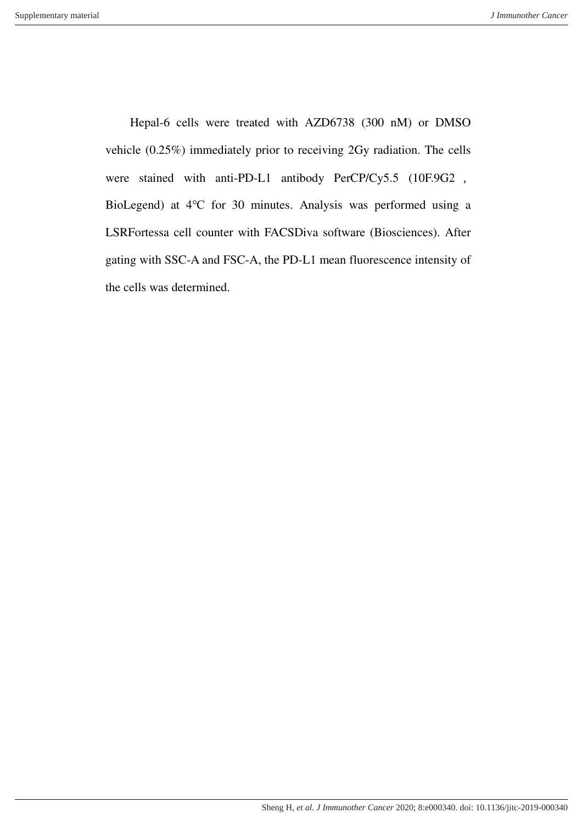Hepal-6 cells were treated with AZD6738 (300 nM) or DMSO vehicle (0.25%) immediately prior to receiving 2Gy radiation. The cells were stained with anti-PD-L1 antibody PerCP/Cy5.5 (10F.9G2 , BioLegend) at 4℃ for 30 minutes. Analysis was performed using a LSRFortessa cell counter with FACSDiva software (Biosciences). After gating with SSC-A and FSC-A, the PD-L1 mean fluorescence intensity of the cells was determined.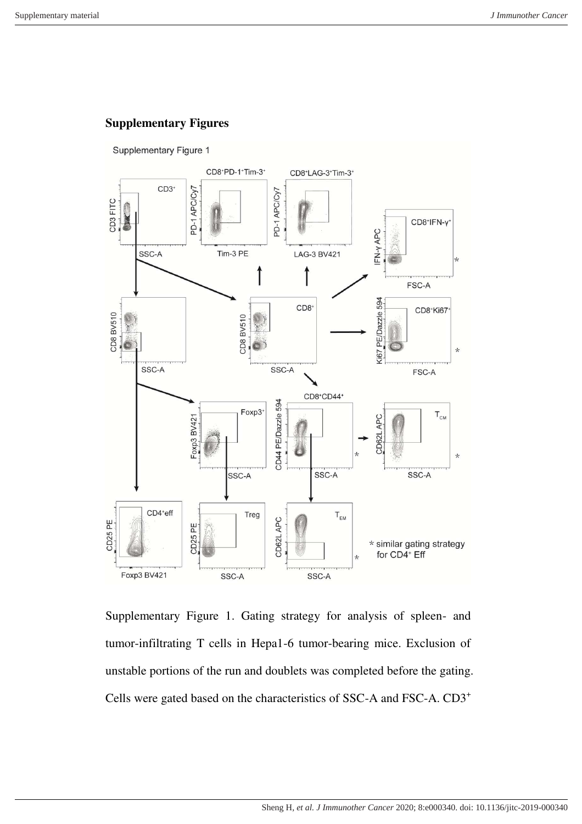# **Supplementary Figures**



Supplementary Figure 1. Gating strategy for analysis of spleen- and tumor-infiltrating T cells in Hepa1-6 tumor-bearing mice. Exclusion of unstable portions of the run and doublets was completed before the gating. Cells were gated based on the characteristics of SSC-A and FSC-A. CD3<sup>+</sup>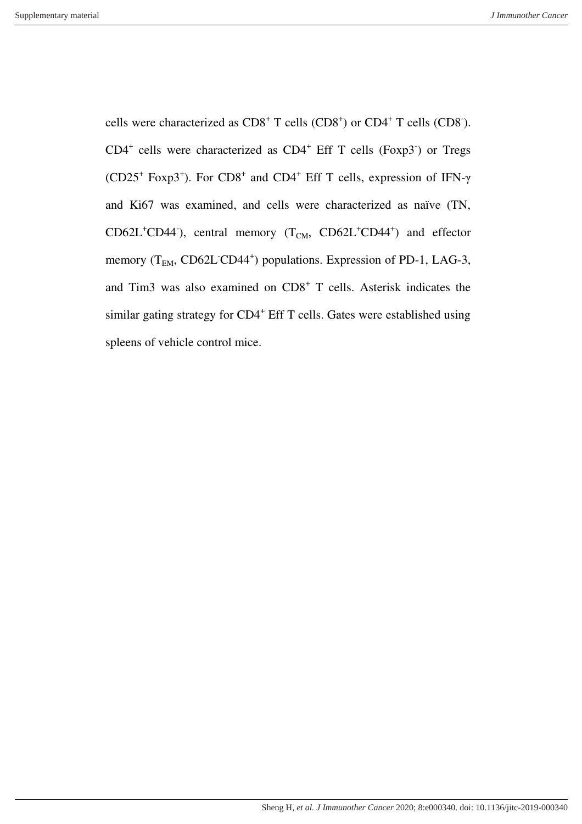cells were characterized as  $CD8^+$  T cells  $(CD8^+)$  or  $CD4^+$  T cells  $(CD8^+)$ .  $CD4^+$  cells were characterized as  $CD4^+$  Eff T cells (Foxp3<sup>-</sup>) or Tregs (CD25<sup>+</sup> Foxp3<sup>+</sup>). For CD8<sup>+</sup> and CD4<sup>+</sup> Eff T cells, expression of IFN- $\gamma$ and Ki67 was examined, and cells were characterized as naïve (TN,  $CD62L<sup>+</sup>CD44$ <sup>'</sup>), central memory (T<sub>CM</sub>,  $CD62L<sup>+</sup>CD44<sup>+</sup>$ ) and effector memory (T<sub>EM</sub>, CD62L<sup>-</sup>CD44<sup>+</sup>) populations. Expression of PD-1, LAG-3, and Tim3 was also examined on CD8<sup>+</sup> T cells. Asterisk indicates the similar gating strategy for CD4<sup>+</sup> Eff T cells. Gates were established using spleens of vehicle control mice.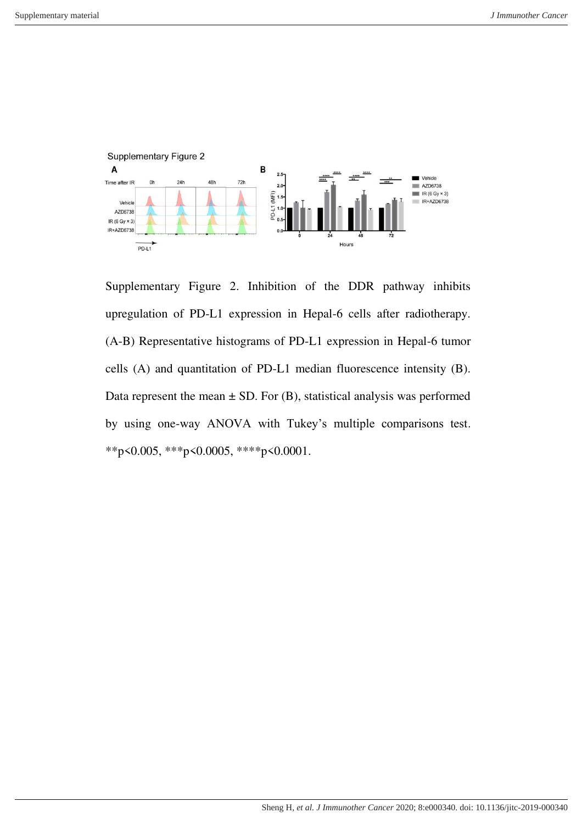

Supplementary Figure 2. Inhibition of the DDR pathway inhibits upregulation of PD-L1 expression in Hepal-6 cells after radiotherapy. (A-B) Representative histograms of PD-L1 expression in Hepal-6 tumor cells (A) and quantitation of PD-L1 median fluorescence intensity (B). Data represent the mean  $\pm$  SD. For (B), statistical analysis was performed by using one-way ANOVA with Tukey's multiple comparisons test. \*\*p<0.005, \*\*\*p<0.0005, \*\*\*\*p<0.0001.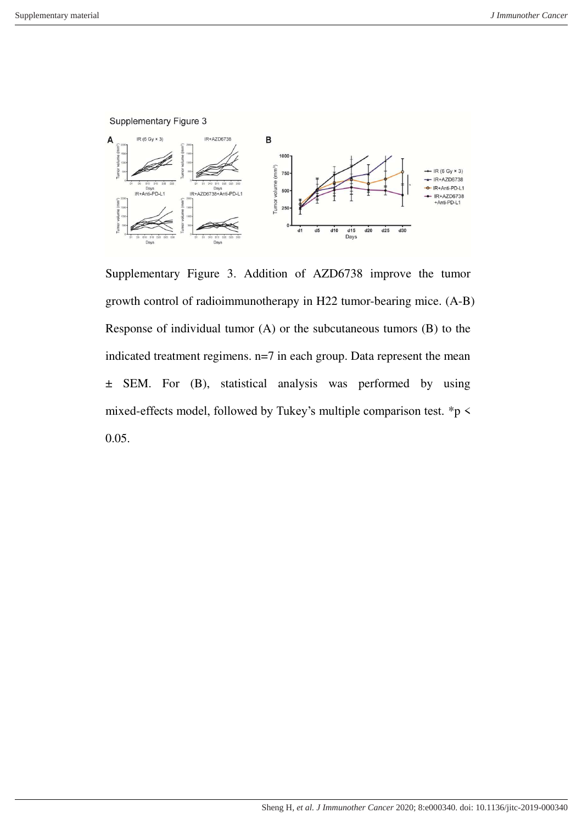Supplementary Figure 3



Supplementary Figure 3. Addition of AZD6738 improve the tumor growth control of radioimmunotherapy in H22 tumor-bearing mice. (A-B) Response of individual tumor (A) or the subcutaneous tumors (B) to the indicated treatment regimens. n=7 in each group. Data represent the mean ± SEM. For (B), statistical analysis was performed by using mixed-effects model, followed by Tukey's multiple comparison test. \*p < 0.05.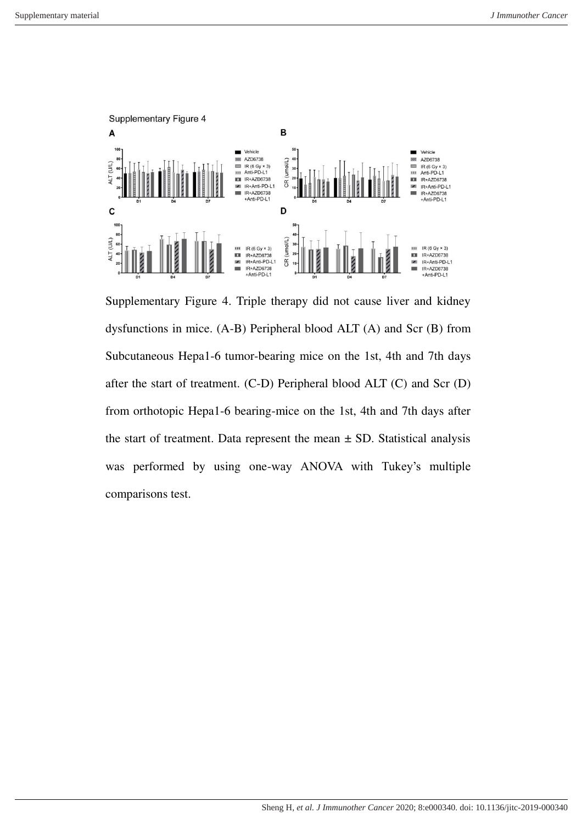

Supplementary Figure 4. Triple therapy did not cause liver and kidney dysfunctions in mice. (A-B) Peripheral blood ALT (A) and Scr (B) from Subcutaneous Hepa1-6 tumor-bearing mice on the 1st, 4th and 7th days after the start of treatment. (C-D) Peripheral blood ALT (C) and Scr (D) from orthotopic Hepa1-6 bearing-mice on the 1st, 4th and 7th days after the start of treatment. Data represent the mean  $\pm$  SD. Statistical analysis was performed by using one-way ANOVA with Tukey's multiple comparisons test.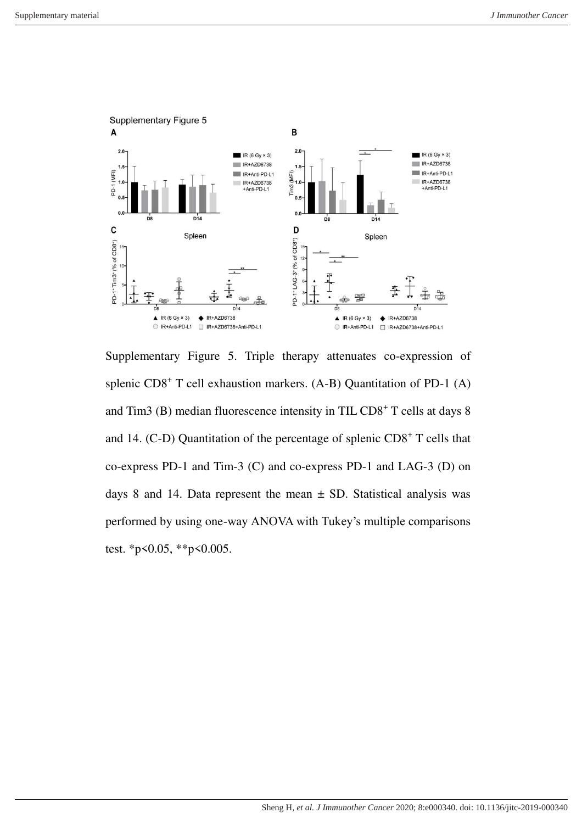

Supplementary Figure 5. Triple therapy attenuates co-expression of splenic CD8<sup>+</sup> T cell exhaustion markers. (A-B) Quantitation of PD-1 (A) and Tim3 (B) median fluorescence intensity in TIL CD8<sup>+</sup> T cells at days 8 and 14. (C-D) Quantitation of the percentage of splenic  $CD8<sup>+</sup>$  T cells that co-express PD-1 and Tim-3 (C) and co-express PD-1 and LAG-3 (D) on days 8 and 14. Data represent the mean  $\pm$  SD. Statistical analysis was performed by using one-way ANOVA with Tukey's multiple comparisons test. \*p<0.05, \*\*p<0.005.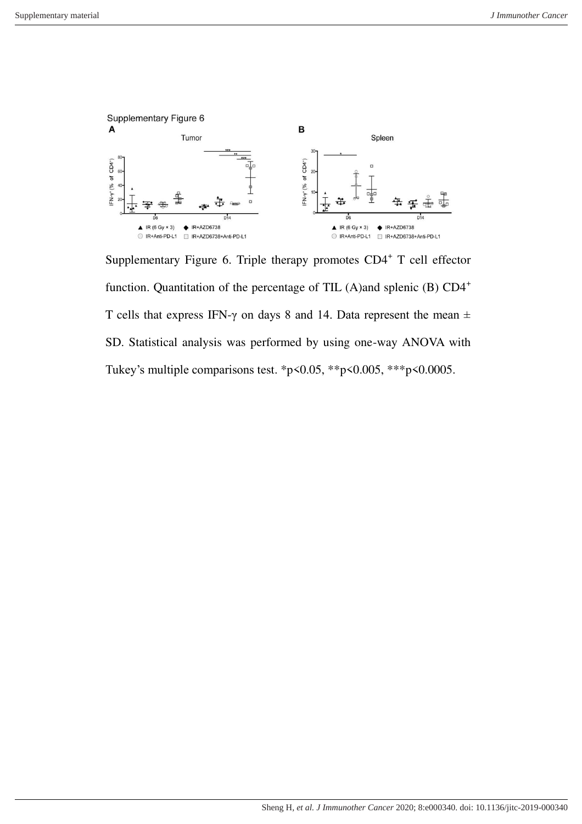

Supplementary Figure 6. Triple therapy promotes  $CD4^+$  T cell effector function. Quantitation of the percentage of TIL (A)and splenic (B)  $CD4^+$ T cells that express IFN- $\gamma$  on days 8 and 14. Data represent the mean  $\pm$ SD. Statistical analysis was performed by using one-way ANOVA with Tukey's multiple comparisons test. \*p<0.05, \*\*p<0.005, \*\*\*p<0.0005.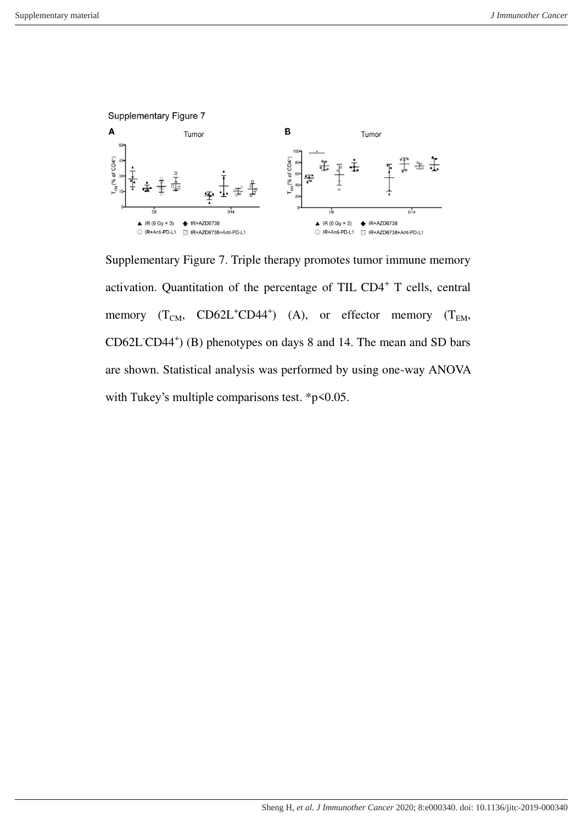

Supplementary Figure 7. Triple therapy promotes tumor immune memory activation. Quantitation of the percentage of TIL CD4<sup>+</sup> T cells, central memory  $(T_{CM}, CO62L^+CD44^+)$  (A), or effector memory  $(T_{EM},$ CD62L<sup>-</sup>CD44<sup>+</sup>) (B) phenotypes on days 8 and 14. The mean and SD bars are shown. Statistical analysis was performed by using one-way ANOVA with Tukey's multiple comparisons test. \*p<0.05.